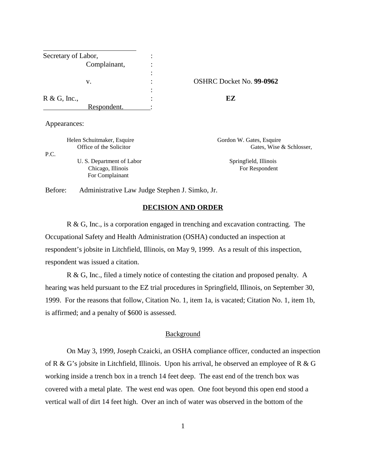| Secretary of Labor, |                          |
|---------------------|--------------------------|
| Complainant,        |                          |
|                     |                          |
| v.                  | OSHRC Docket No. 99-0962 |
|                     |                          |
| $R \& G$ , Inc.,    | EZ                       |
| Respondent.         |                          |

Appearances:

P.C.

Helen Schuitmaker, Esquire Gordon W. Gates, Esquire U. S. Department of Labor Springfield, Illinois

For Complainant

Office of the Solicitor Gates, Wise & Schlosser,

Chicago, Illinois For Respondent

Before: Administrative Law Judge Stephen J. Simko, Jr.

## **DECISION AND ORDER**

 R & G, Inc., is a corporation engaged in trenching and excavation contracting. The Occupational Safety and Health Administration (OSHA) conducted an inspection at respondent's jobsite in Litchfield, Illinois, on May 9, 1999. As a result of this inspection, respondent was issued a citation.

R & G, Inc., filed a timely notice of contesting the citation and proposed penalty. A hearing was held pursuant to the EZ trial procedures in Springfield, Illinois, on September 30, 1999. For the reasons that follow, Citation No. 1, item 1a, is vacated; Citation No. 1, item 1b, is affirmed; and a penalty of \$600 is assessed.

#### **Background**

On May 3, 1999, Joseph Czaicki, an OSHA compliance officer, conducted an inspection of R & G's jobsite in Litchfield, Illinois. Upon his arrival, he observed an employee of R & G working inside a trench box in a trench 14 feet deep. The east end of the trench box was covered with a metal plate. The west end was open. One foot beyond this open end stood a vertical wall of dirt 14 feet high. Over an inch of water was observed in the bottom of the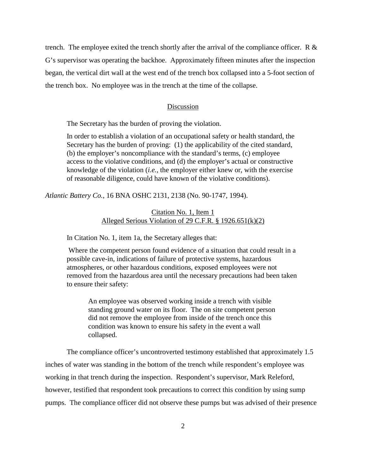trench. The employee exited the trench shortly after the arrival of the compliance officer. R  $\&$ G's supervisor was operating the backhoe. Approximately fifteen minutes after the inspection began, the vertical dirt wall at the west end of the trench box collapsed into a 5-foot section of the trench box. No employee was in the trench at the time of the collapse.

## Discussion

The Secretary has the burden of proving the violation.

In order to establish a violation of an occupational safety or health standard, the Secretary has the burden of proving: (1) the applicability of the cited standard, (b) the employer's noncompliance with the standard's terms, (c) employee access to the violative conditions, and (d) the employer's actual or constructive knowledge of the violation (*i.e.*, the employer either knew or, with the exercise of reasonable diligence, could have known of the violative conditions).

*Atlantic Battery Co.*, 16 BNA OSHC 2131, 2138 (No. 90-1747, 1994).

# Citation No. 1, Item 1 Alleged Serious Violation of 29 C.F.R. § 1926.651(k)(2)

In Citation No. 1, item 1a, the Secretary alleges that:

 Where the competent person found evidence of a situation that could result in a possible cave-in, indications of failure of protective systems, hazardous atmospheres, or other hazardous conditions, exposed employees were not removed from the hazardous area until the necessary precautions had been taken to ensure their safety:

An employee was observed working inside a trench with visible standing ground water on its floor. The on site competent person did not remove the employee from inside of the trench once this condition was known to ensure his safety in the event a wall collapsed.

The compliance officer's uncontroverted testimony established that approximately 1.5 inches of water was standing in the bottom of the trench while respondent's employee was working in that trench during the inspection. Respondent's supervisor, Mark Releford, however, testified that respondent took precautions to correct this condition by using sump pumps. The compliance officer did not observe these pumps but was advised of their presence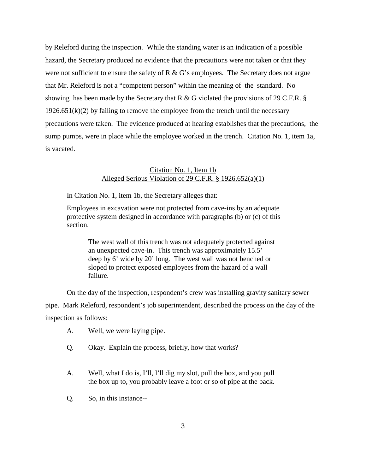by Releford during the inspection. While the standing water is an indication of a possible hazard, the Secretary produced no evidence that the precautions were not taken or that they were not sufficient to ensure the safety of R  $\&$  G's employees. The Secretary does not argue that Mr. Releford is not a "competent person" within the meaning of the standard. No showing has been made by the Secretary that R & G violated the provisions of 29 C.F.R.  $\S$  $1926.651(k)(2)$  by failing to remove the employee from the trench until the necessary precautions were taken. The evidence produced at hearing establishes that the precautions, the sump pumps, were in place while the employee worked in the trench. Citation No. 1, item 1a, is vacated.

## Citation No. 1, Item 1b Alleged Serious Violation of 29 C.F.R. § 1926.652(a)(1)

In Citation No. 1, item 1b, the Secretary alleges that:

Employees in excavation were not protected from cave-ins by an adequate protective system designed in accordance with paragraphs (b) or (c) of this section.

> The west wall of this trench was not adequately protected against an unexpected cave-in. This trench was approximately 15.5' deep by 6' wide by 20' long. The west wall was not benched or sloped to protect exposed employees from the hazard of a wall failure.

On the day of the inspection, respondent's crew was installing gravity sanitary sewer

pipe. Mark Releford, respondent's job superintendent, described the process on the day of the inspection as follows:

- A. Well, we were laying pipe.
- Q. Okay. Explain the process, briefly, how that works?
- A. Well, what I do is, I'll, I'll dig my slot, pull the box, and you pull the box up to, you probably leave a foot or so of pipe at the back.
- Q. So, in this instance--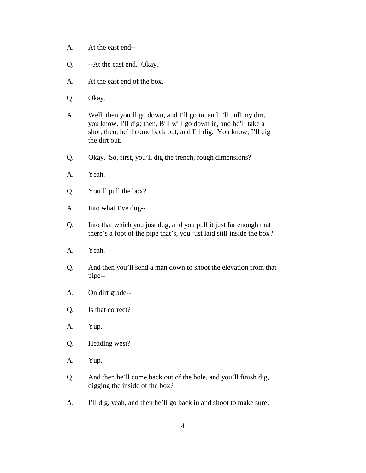- A. At the east end--
- Q. --At the east end. Okay.
- A. At the east end of the box.
- Q. Okay.
- A. Well, then you'll go down, and I'll go in, and I'll pull my dirt, you know, I'll dig; then, Bill will go down in, and he'll take a shot; then, he'll come back out, and I'll dig. You know, I'll dig the dirt out.
- Q. Okay. So, first, you'll dig the trench, rough dimensions?
- A. Yeah.
- Q. You'll pull the box?
- A Into what I've dug--
- Q. Into that which you just dug, and you pull it just far enough that there's a foot of the pipe that's, you just laid still inside the box?
- A. Yeah.
- Q. And then you'll send a man down to shoot the elevation from that pipe--
- A. On dirt grade--
- Q. Is that correct?
- A. Yup.
- Q. Heading west?
- A. Yup.
- Q. And then he'll come back out of the hole, and you'll finish dig, digging the inside of the box?
- A. I'll dig, yeah, and then he'll go back in and shoot to make sure.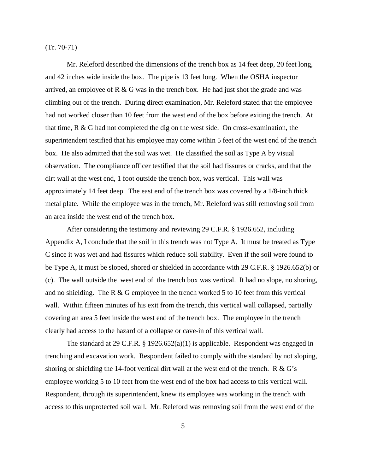(Tr. 70-71)

Mr. Releford described the dimensions of the trench box as 14 feet deep, 20 feet long, and 42 inches wide inside the box. The pipe is 13 feet long. When the OSHA inspector arrived, an employee of  $R \& G$  was in the trench box. He had just shot the grade and was climbing out of the trench. During direct examination, Mr. Releford stated that the employee had not worked closer than 10 feet from the west end of the box before exiting the trench. At that time, R & G had not completed the dig on the west side. On cross-examination, the superintendent testified that his employee may come within 5 feet of the west end of the trench box. He also admitted that the soil was wet. He classified the soil as Type A by visual observation. The compliance officer testified that the soil had fissures or cracks, and that the dirt wall at the west end, 1 foot outside the trench box, was vertical. This wall was approximately 14 feet deep. The east end of the trench box was covered by a 1/8-inch thick metal plate. While the employee was in the trench, Mr. Releford was still removing soil from an area inside the west end of the trench box.

After considering the testimony and reviewing 29 C.F.R. § 1926.652, including Appendix A, I conclude that the soil in this trench was not Type A. It must be treated as Type C since it was wet and had fissures which reduce soil stability. Even if the soil were found to be Type A, it must be sloped, shored or shielded in accordance with 29 C.F.R. § 1926.652(b) or (c). The wall outside the west end of the trench box was vertical. It had no slope, no shoring, and no shielding. The R & G employee in the trench worked 5 to 10 feet from this vertical wall. Within fifteen minutes of his exit from the trench, this vertical wall collapsed, partially covering an area 5 feet inside the west end of the trench box. The employee in the trench clearly had access to the hazard of a collapse or cave-in of this vertical wall.

The standard at 29 C.F.R. § 1926.652(a)(1) is applicable. Respondent was engaged in trenching and excavation work. Respondent failed to comply with the standard by not sloping, shoring or shielding the 14-foot vertical dirt wall at the west end of the trench. R  $\&$  G's employee working 5 to 10 feet from the west end of the box had access to this vertical wall. Respondent, through its superintendent, knew its employee was working in the trench with access to this unprotected soil wall. Mr. Releford was removing soil from the west end of the

5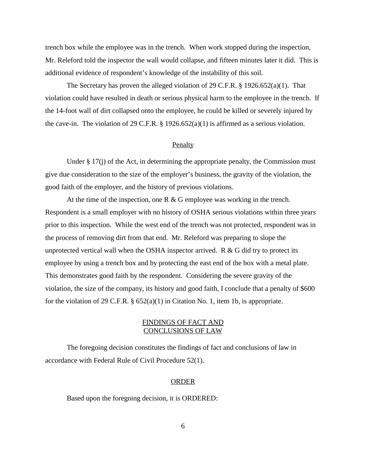trench box while the employee was in the trench. When work stopped during the inspection, Mr. Releford told the inspector the wall would collapse, and fifteen minutes later it did. This is additional evidence of respondent's knowledge of the instability of this soil.

The Secretary has proven the alleged violation of 29 C.F.R. § 1926.652(a)(1). That violation could have resulted in death or serious physical harm to the employee in the trench. If the 14-foot wall of dirt collapsed onto the employee, he could be killed or severely injured by the cave-in. The violation of 29 C.F.R.  $\S$  1926.652(a)(1) is affirmed as a serious violation.

#### Penalty

Under  $\S 17(i)$  of the Act, in determining the appropriate penalty, the Commission must give due consideration to the size of the employer's business, the gravity of the violation, the good faith of the employer, and the history of previous violations.

At the time of the inspection, one R  $\&$  G employee was working in the trench. Respondent is a small employer with no history of OSHA serious violations within three years prior to this inspection. While the west end of the trench was not protected, respondent was in the process of removing dirt from that end. Mr. Releford was preparing to slope the unprotected vertical wall when the OSHA inspector arrived.  $R \& G$  did try to protect its employee by using a trench box and by protecting the east end of the box with a metal plate. This demonstrates good faith by the respondent. Considering the severe gravity of the violation, the size of the company, its history and good faith, I conclude that a penalty of \$600 for the violation of 29 C.F.R.  $\S 652(a)(1)$  in Citation No. 1, item 1b, is appropriate.

# FINDINGS OF FACT AND CONCLUSIONS OF LAW

The foregoing decision constitutes the findings of fact and conclusions of law in accordance with Federal Rule of Civil Procedure 52(1).

#### ORDER

Based upon the foregoing decision, it is ORDERED: